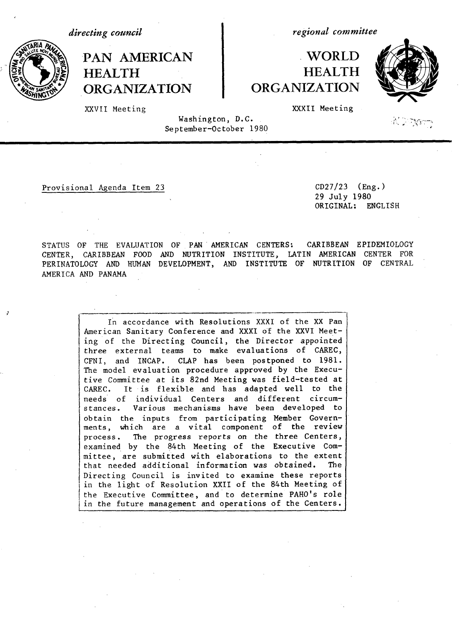*directing council*

**HEALTH**



**PAN AMERICAN**

## **WORLD HEALTH ORGANIZATION**



 $\mathcal{H} \supseteq \mathcal{H}_\mathbf{C}$  ,  $\mathcal{H}_\mathbf{C}$ 

 $\mathcal{L}^{\text{max}}$ 

I

XXXII Meeting

*regional committee*

XXVII Meeting

**ORGANIZATION**

Washington, D.C. September-October 1980

Provisional Agenda Item 23 CD27/23 (Eng.)

29 July 1980 ORIGINAL: ENGLISH

STATUS OF THE EVALUATION OF PAN AMERICAN CENTERS: CARIBBEAN EPIDEMIOLOGY CENTER, CARIBBEAN FOOD AND NUTRITION INSTITUTE, LATIN AMERICAN CENTER FOR PERINATOLOGY AND HUMAN DEVELOPMENT, AND INSTITUTE OF NUTRITION OF CENTRAL AMERICA AND PANAMA

> In accordance with Resolutions XXXI of the XX Pan American Sanitary Conference and XXXI of the XXVI Meeting of the Directing Council, the Director appointed three external teams to make evaluations of CAREC, CFNI, and INCAP. CLAP has been postponed to 1981. The model evaluation procedure approved by the Executive Committee at its 82nd Meeting was field-tested at CAREC. It is flexible and has adapted well to the needs of individual Centers and different circumstances. Various mechanisms have been developed to obtain the inputs from participating Member Governments, which are a vital component of the review process. The progress reports on the three Centers, examined by the 84th Meeting of the Executive Committee, are submitted with elaborations to the extent that needed additional information was obtained. The Directing Council is invited to examine these reports in the light of Resolution XXII of the 84th Meeting of the Executive Committee, and to determine PAHO's role in the future management and operations of the Centers.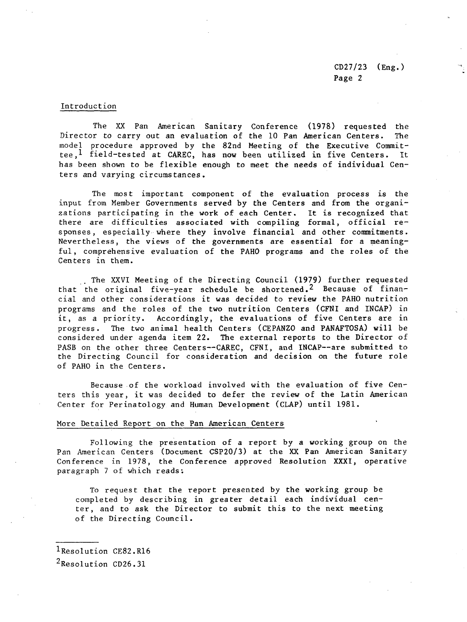CD27/23 (Eng.) Page 2

## Introduction

The XX Pan American Sanitary Conference (1978) requested the Director to carry out an evaluation of the 10 Pan American Centers. The model procedure approved by the 82nd Meeting of the Executive Committee,  $^1$  field-tested at CAREC, has now been utilized in five Centers. It has been shown to be flexible enough to meet the needs of individual Centers and varying circumstances.

The most important component of the evaluation process is the input from Member Governments served by the Centers and from the organizations participating in the work of each Center. It is recognized that there are difficulties associated with compiling formal, official responses, especially where they involve financial and other commitments. Nevertheless, the views of the governments are essential for a meaningful, comprehensive evaluation of the PAHO programs and the roles of the Centers in them.

. The XXVI Meeting of the Directing Council (1979) further requested that the original five-year schedule be shortened.2 Because of financial and other considerations it was decided to review the PAHO nutrition programs and the roles of the two nutrition Centers (CFNI and INCAP) in it, as a priority. Accordingly, the evaluations of five Centers are in progress. The two animal health Centers (CEPANZO and PANAFTOSA) will be considered under agenda item 22. The external reports to the Director of PASB on the other three Centers--CAREC, CFNI, and INCAP--are submitted to the Directing Council for consideration and decision on the future role of PAHO in the Centers.

Because of the workload involved with the evaluation of five Centers this year, it was decided to defer the review of the Latin American Center for Perinatology and Human Development (CLAP) until 1981.

## More Detailed Report on the Pan American Centers

Following the presentation of a report by a working group on the Pan American Centers (Document CSP20/3) at the XX Pan American Sanitary Conference in 1978, the Conference approved Resolution XXXI, operative paragraph 7 of which reads;

To request that the report presented by the working group be completed by describing in greater detail each individual center, and to ask the Director to submit this to the next meeting of the Directing Council.

1Resolution CE82.R16

2Resolution CD26.31